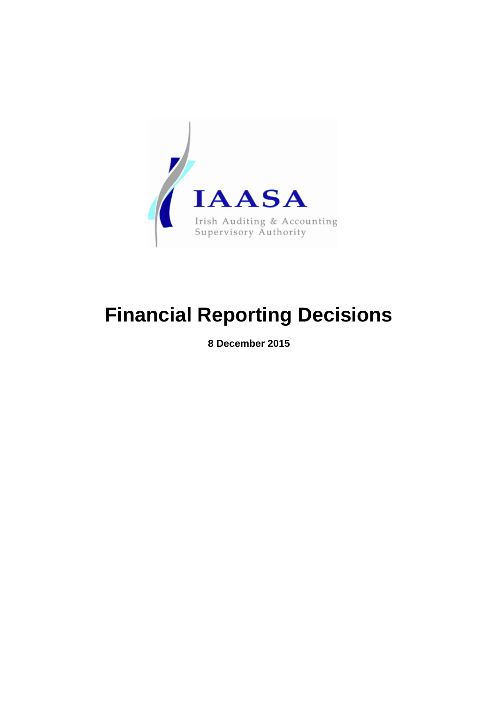

# **Financial Reporting Decisions**

**8 December 2015**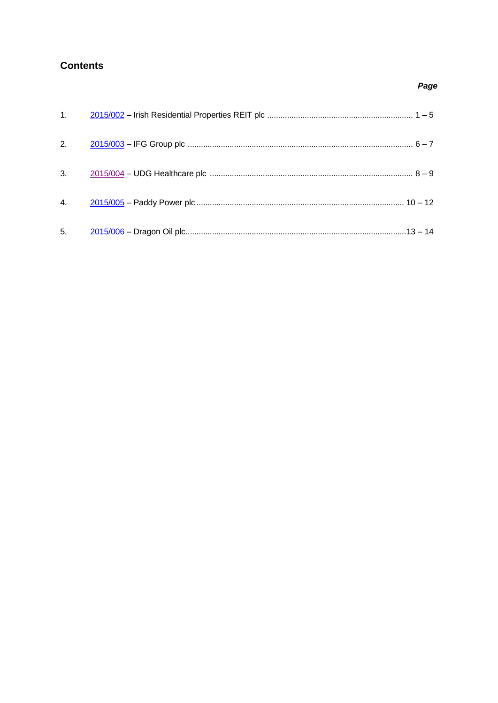# <span id="page-1-0"></span>**Contents**

| 1.11 |  |
|------|--|
|      |  |
|      |  |
|      |  |
|      |  |

# Page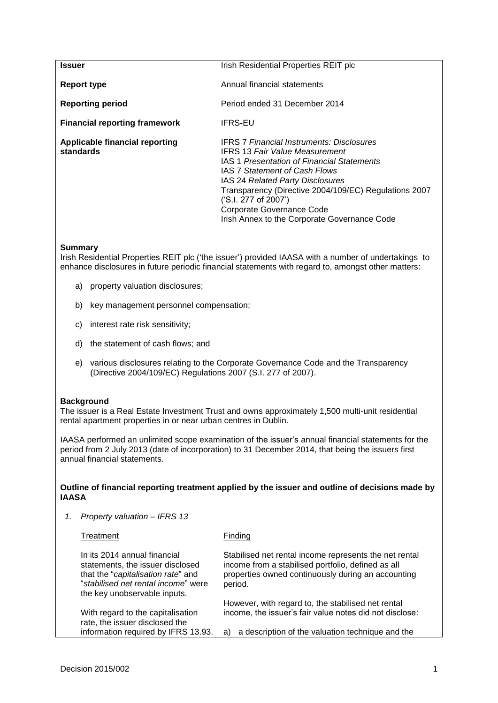<span id="page-2-0"></span>

| Issuer                                             | Irish Residential Properties REIT plc                                                                                                                                                                                                                                                                                                                                      |
|----------------------------------------------------|----------------------------------------------------------------------------------------------------------------------------------------------------------------------------------------------------------------------------------------------------------------------------------------------------------------------------------------------------------------------------|
| Report type                                        | Annual financial statements                                                                                                                                                                                                                                                                                                                                                |
| <b>Reporting period</b>                            | Period ended 31 December 2014                                                                                                                                                                                                                                                                                                                                              |
| <b>Financial reporting framework</b>               | <b>IFRS-EU</b>                                                                                                                                                                                                                                                                                                                                                             |
| <b>Applicable financial reporting</b><br>standards | <b>IFRS 7 Financial Instruments: Disclosures</b><br><b>IFRS 13 Fair Value Measurement</b><br>IAS 1 Presentation of Financial Statements<br>IAS 7 Statement of Cash Flows<br>IAS 24 Related Party Disclosures<br>Transparency (Directive 2004/109/EC) Regulations 2007<br>('S.I. 277 of 2007')<br>Corporate Governance Code<br>Irish Annex to the Corporate Governance Code |

Irish Residential Properties REIT plc ('the issuer') provided IAASA with a number of undertakings to enhance disclosures in future periodic financial statements with regard to, amongst other matters:

- a) property valuation disclosures;
- b) key management personnel compensation;
- c) interest rate risk sensitivity;
- d) the statement of cash flows; and
- e) various disclosures relating to the Corporate Governance Code and the Transparency (Directive 2004/109/EC) Regulations 2007 (S.I. 277 of 2007).

#### **Background**

The issuer is a Real Estate Investment Trust and owns approximately 1,500 multi-unit residential rental apartment properties in or near urban centres in Dublin.

IAASA performed an unlimited scope examination of the issuer's annual financial statements for the period from 2 July 2013 (date of incorporation) to 31 December 2014, that being the issuers first annual financial statements.

#### **Outline of financial reporting treatment applied by the issuer and outline of decisions made by IAASA**

*1. Property valuation – IFRS 13*

| Treatment                                                                                                                                                                     | Finding                                                                                                                                                                       |
|-------------------------------------------------------------------------------------------------------------------------------------------------------------------------------|-------------------------------------------------------------------------------------------------------------------------------------------------------------------------------|
| In its 2014 annual financial<br>statements, the issuer disclosed<br>that the "capitalisation rate" and<br>"stabilised net rental income" were<br>the key unobservable inputs. | Stabilised net rental income represents the net rental<br>income from a stabilised portfolio, defined as all<br>properties owned continuously during an accounting<br>period. |
| With regard to the capitalisation<br>rate, the issuer disclosed the<br>information required by IFRS 13.93.                                                                    | However, with regard to, the stabilised net rental<br>income, the issuer's fair value notes did not disclose:<br>a description of the valuation technique and the<br>a)       |
|                                                                                                                                                                               |                                                                                                                                                                               |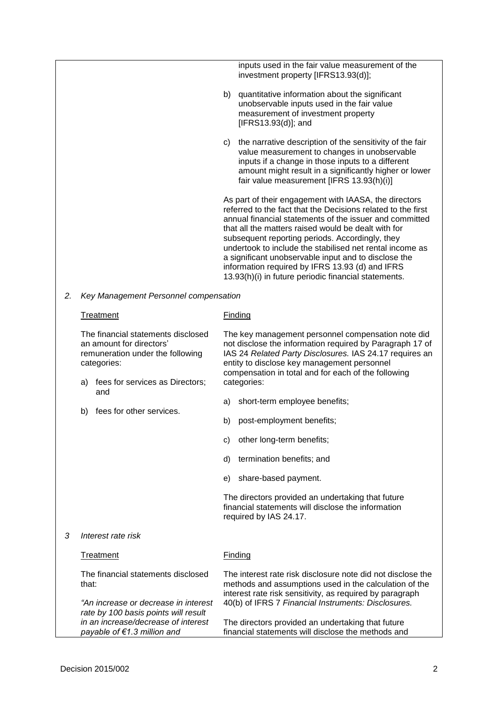inputs used in the fair value measurement of the investment property [IFRS13.93(d)];

- b) quantitative information about the significant unobservable inputs used in the fair value measurement of investment property [IFRS13.93(d)]; and
- c) the narrative description of the sensitivity of the fair value measurement to changes in unobservable inputs if a change in those inputs to a different amount might result in a significantly higher or lower fair value measurement [IFRS 13.93(h)(i)]

As part of their engagement with IAASA, the directors referred to the fact that the Decisions related to the first annual financial statements of the issuer and committed that all the matters raised would be dealt with for subsequent reporting periods. Accordingly, they undertook to include the stabilised net rental income as a significant unobservable input and to disclose the information required by IFRS 13.93 (d) and IFRS 13.93(h)(i) in future periodic financial statements.

*2. Key Management Personnel compensation* 

|   | Treatment                                                                                                                                                  | Finding                                                                                                                                                                                                                                                                                        |
|---|------------------------------------------------------------------------------------------------------------------------------------------------------------|------------------------------------------------------------------------------------------------------------------------------------------------------------------------------------------------------------------------------------------------------------------------------------------------|
|   | The financial statements disclosed<br>an amount for directors'<br>remuneration under the following<br>categories:<br>fees for services as Directors;<br>a) | The key management personnel compensation note did<br>not disclose the information required by Paragraph 17 of<br>IAS 24 Related Party Disclosures. IAS 24.17 requires an<br>entity to disclose key management personnel<br>compensation in total and for each of the following<br>categories: |
|   | and                                                                                                                                                        | short-term employee benefits;<br>a)                                                                                                                                                                                                                                                            |
|   | fees for other services.<br>b)                                                                                                                             | post-employment benefits;<br>b)                                                                                                                                                                                                                                                                |
|   |                                                                                                                                                            | other long-term benefits;<br>C)                                                                                                                                                                                                                                                                |
|   |                                                                                                                                                            | termination benefits; and<br>d)                                                                                                                                                                                                                                                                |
|   |                                                                                                                                                            | share-based payment.<br>e)                                                                                                                                                                                                                                                                     |
|   |                                                                                                                                                            | The directors provided an undertaking that future<br>financial statements will disclose the information<br>required by IAS 24.17.                                                                                                                                                              |
| 3 | Interest rate risk                                                                                                                                         |                                                                                                                                                                                                                                                                                                |
|   | Treatment                                                                                                                                                  | Finding                                                                                                                                                                                                                                                                                        |
|   | The financial statements disclosed<br>that:                                                                                                                | The interest rate risk disclosure note did not disclose the<br>methods and assumptions used in the calculation of the<br>interest rate risk sensitivity, as required by paragraph                                                                                                              |
|   | "An increase or decrease in interest<br>rate by 100 basis points will result                                                                               | 40(b) of IFRS 7 Financial Instruments: Disclosures.                                                                                                                                                                                                                                            |
|   | in an increase/decrease of interest<br>payable of €1.3 million and                                                                                         | The directors provided an undertaking that future<br>financial statements will disclose the methods and                                                                                                                                                                                        |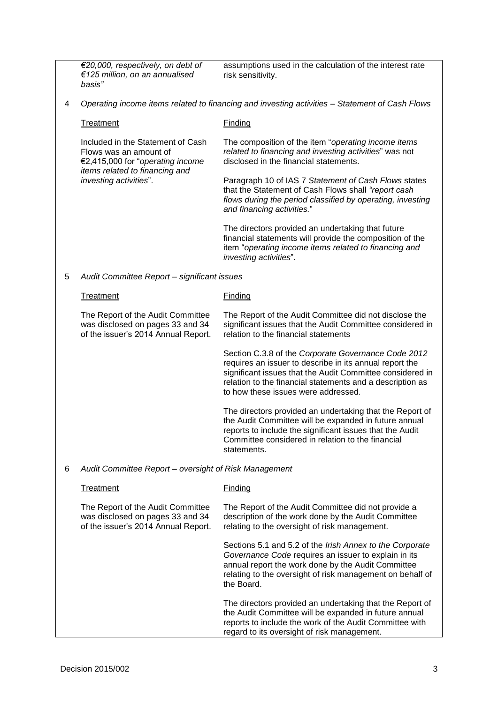|   | €20,000, respectively, on debt of<br>€125 million, on an annualised<br>basis"                                                     | assumptions used in the calculation of the interest rate<br>risk sensitivity.                                                                                                                                                                                                   |
|---|-----------------------------------------------------------------------------------------------------------------------------------|---------------------------------------------------------------------------------------------------------------------------------------------------------------------------------------------------------------------------------------------------------------------------------|
| 4 | Operating income items related to financing and investing activities - Statement of Cash Flows                                    |                                                                                                                                                                                                                                                                                 |
|   | Treatment                                                                                                                         | Finding                                                                                                                                                                                                                                                                         |
|   | Included in the Statement of Cash<br>Flows was an amount of<br>€2,415,000 for "operating income<br>items related to financing and | The composition of the item "operating income items<br>related to financing and investing activities" was not<br>disclosed in the financial statements.                                                                                                                         |
|   | investing activities".                                                                                                            | Paragraph 10 of IAS 7 Statement of Cash Flows states<br>that the Statement of Cash Flows shall "report cash<br>flows during the period classified by operating, investing<br>and financing activities."                                                                         |
|   |                                                                                                                                   | The directors provided an undertaking that future<br>financial statements will provide the composition of the<br>item "operating income items related to financing and<br>investing activities".                                                                                |
| 5 | Audit Committee Report - significant issues                                                                                       |                                                                                                                                                                                                                                                                                 |
|   | <b>Treatment</b>                                                                                                                  | <b>Finding</b>                                                                                                                                                                                                                                                                  |
|   | The Report of the Audit Committee<br>was disclosed on pages 33 and 34<br>of the issuer's 2014 Annual Report.                      | The Report of the Audit Committee did not disclose the<br>significant issues that the Audit Committee considered in<br>relation to the financial statements                                                                                                                     |
|   |                                                                                                                                   | Section C.3.8 of the Corporate Governance Code 2012<br>requires an issuer to describe in its annual report the<br>significant issues that the Audit Committee considered in<br>relation to the financial statements and a description as<br>to how these issues were addressed. |
|   |                                                                                                                                   | The directors provided an undertaking that the Report of<br>the Audit Committee will be expanded in future annual<br>reports to include the significant issues that the Audit<br>Committee considered in relation to the financial<br>statements.                               |
| 6 | Audit Committee Report - oversight of Risk Management                                                                             |                                                                                                                                                                                                                                                                                 |
|   | <b>Treatment</b>                                                                                                                  | <b>Finding</b>                                                                                                                                                                                                                                                                  |
|   | The Report of the Audit Committee<br>was disclosed on pages 33 and 34<br>of the issuer's 2014 Annual Report.                      | The Report of the Audit Committee did not provide a<br>description of the work done by the Audit Committee<br>relating to the oversight of risk management.                                                                                                                     |
|   |                                                                                                                                   | Sections 5.1 and 5.2 of the Irish Annex to the Corporate<br>Governance Code requires an issuer to explain in its<br>annual report the work done by the Audit Committee<br>relating to the oversight of risk management on behalf of<br>the Board.                               |
|   |                                                                                                                                   | The directors provided an undertaking that the Report of<br>the Audit Committee will be expanded in future annual<br>reports to include the work of the Audit Committee with<br>regard to its oversight of risk management.                                                     |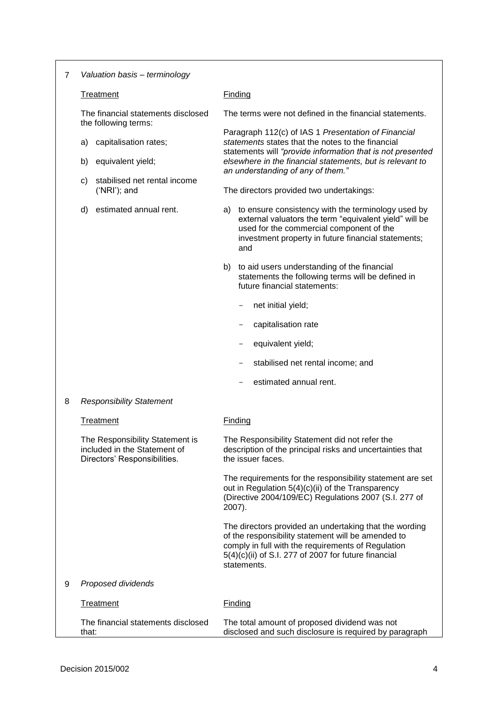| 7 | Valuation basis - terminology                                                                   |                                                                                                                                                                                                                                             |  |
|---|-------------------------------------------------------------------------------------------------|---------------------------------------------------------------------------------------------------------------------------------------------------------------------------------------------------------------------------------------------|--|
|   | Treatment                                                                                       | <b>Finding</b>                                                                                                                                                                                                                              |  |
|   | The financial statements disclosed<br>the following terms:                                      | The terms were not defined in the financial statements.                                                                                                                                                                                     |  |
|   | capitalisation rates;<br>a)                                                                     | Paragraph 112(c) of IAS 1 Presentation of Financial<br>statements states that the notes to the financial                                                                                                                                    |  |
|   | equivalent yield;<br>b)                                                                         | statements will "provide information that is not presented<br>elsewhere in the financial statements, but is relevant to<br>an understanding of any of them."                                                                                |  |
|   | stabilised net rental income<br>C)<br>$('NRI');$ and                                            | The directors provided two undertakings:                                                                                                                                                                                                    |  |
|   | estimated annual rent.<br>d)                                                                    | to ensure consistency with the terminology used by<br>a)<br>external valuators the term "equivalent yield" will be<br>used for the commercial component of the<br>investment property in future financial statements;<br>and                |  |
|   |                                                                                                 | b) to aid users understanding of the financial<br>statements the following terms will be defined in<br>future financial statements:                                                                                                         |  |
|   |                                                                                                 | net initial yield;<br>$\qquad \qquad -$                                                                                                                                                                                                     |  |
|   |                                                                                                 | capitalisation rate                                                                                                                                                                                                                         |  |
|   |                                                                                                 | equivalent yield;                                                                                                                                                                                                                           |  |
|   |                                                                                                 | stabilised net rental income; and                                                                                                                                                                                                           |  |
|   |                                                                                                 | estimated annual rent.                                                                                                                                                                                                                      |  |
| 8 | <b>Responsibility Statement</b>                                                                 |                                                                                                                                                                                                                                             |  |
|   | Treatment                                                                                       | Finding                                                                                                                                                                                                                                     |  |
|   | The Responsibility Statement is<br>included in the Statement of<br>Directors' Responsibilities. | The Responsibility Statement did not refer the<br>description of the principal risks and uncertainties that<br>the issuer faces.                                                                                                            |  |
|   |                                                                                                 | The requirements for the responsibility statement are set<br>out in Regulation 5(4)(c)(ii) of the Transparency<br>(Directive 2004/109/EC) Regulations 2007 (S.I. 277 of<br>2007).                                                           |  |
|   |                                                                                                 | The directors provided an undertaking that the wording<br>of the responsibility statement will be amended to<br>comply in full with the requirements of Regulation<br>$5(4)(c)(ii)$ of S.I. 277 of 2007 for future financial<br>statements. |  |
| 9 | Proposed dividends                                                                              |                                                                                                                                                                                                                                             |  |
|   | <b>Treatment</b>                                                                                | Finding                                                                                                                                                                                                                                     |  |
|   | The financial statements disclosed<br>that:                                                     | The total amount of proposed dividend was not<br>disclosed and such disclosure is required by paragraph                                                                                                                                     |  |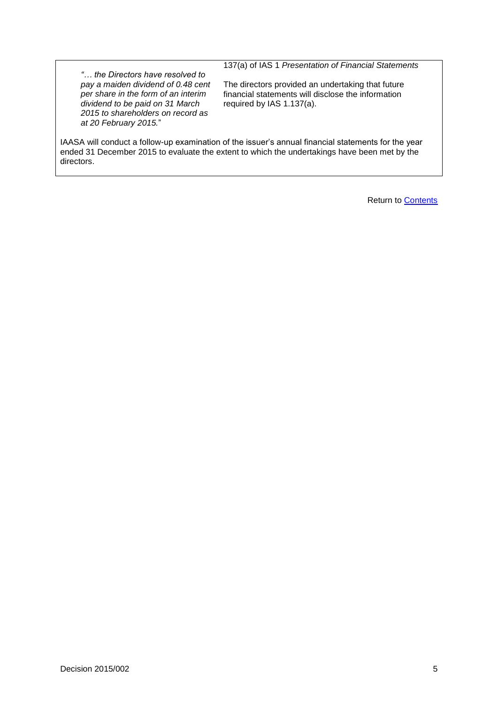137(a) of IAS 1 *Presentation of Financial Statements*

*"… the Directors have resolved to pay a maiden dividend of 0.48 cent per share in the form of an interim dividend to be paid on 31 March 2015 to shareholders on record as at 20 February 2015.*"

The directors provided an undertaking that future financial statements will disclose the information required by IAS 1.137(a).

IAASA will conduct a follow-up examination of the issuer's annual financial statements for the year ended 31 December 2015 to evaluate the extent to which the undertakings have been met by the directors.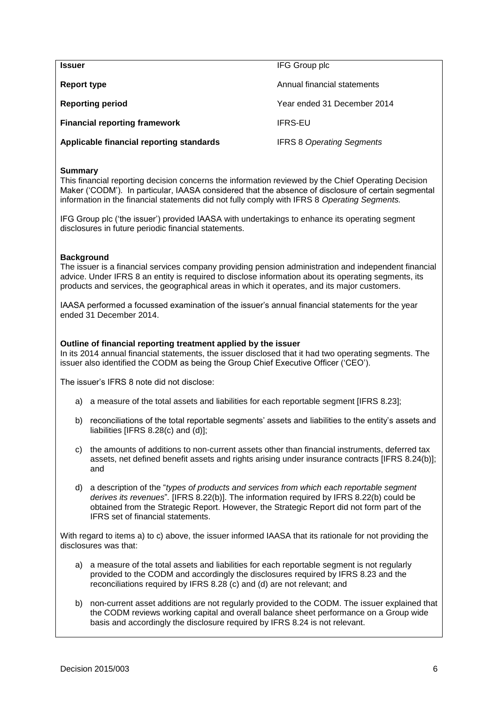<span id="page-7-0"></span>

| <b>Issuer</b>                            | IFG Group plc                    |
|------------------------------------------|----------------------------------|
| Report type                              | Annual financial statements      |
| <b>Reporting period</b>                  | Year ended 31 December 2014      |
| <b>Financial reporting framework</b>     | <b>IFRS-EU</b>                   |
| Applicable financial reporting standards | <b>IFRS 8 Operating Segments</b> |

This financial reporting decision concerns the information reviewed by the Chief Operating Decision Maker ('CODM'). In particular, IAASA considered that the absence of disclosure of certain segmental information in the financial statements did not fully comply with IFRS 8 *Operating Segments.*

IFG Group plc ('the issuer') provided IAASA with undertakings to enhance its operating segment disclosures in future periodic financial statements.

#### **Background**

The issuer is a financial services company providing pension administration and independent financial advice. Under IFRS 8 an entity is required to disclose information about its operating segments, its products and services, the geographical areas in which it operates, and its major customers.

IAASA performed a focussed examination of the issuer's annual financial statements for the year ended 31 December 2014.

#### **Outline of financial reporting treatment applied by the issuer**

In its 2014 annual financial statements, the issuer disclosed that it had two operating segments. The issuer also identified the CODM as being the Group Chief Executive Officer ('CEO').

The issuer's IFRS 8 note did not disclose:

- a) a measure of the total assets and liabilities for each reportable segment [IFRS 8.23];
- b) reconciliations of the total reportable segments' assets and liabilities to the entity's assets and liabilities [IFRS 8.28(c) and (d)];
- c) the amounts of additions to non-current assets other than financial instruments, deferred tax assets, net defined benefit assets and rights arising under insurance contracts [IFRS 8.24(b)]; and
- d) a description of the "*types of products and services from which each reportable segment derives its revenues*"*.* [IFRS 8.22(b)]. The information required by IFRS 8.22(b) could be obtained from the Strategic Report. However, the Strategic Report did not form part of the IFRS set of financial statements.

With regard to items a) to c) above, the issuer informed IAASA that its rationale for not providing the disclosures was that:

- a) a measure of the total assets and liabilities for each reportable segment is not regularly provided to the CODM and accordingly the disclosures required by IFRS 8.23 and the reconciliations required by IFRS 8.28 (c) and (d) are not relevant; and
- b) non-current asset additions are not regularly provided to the CODM. The issuer explained that the CODM reviews working capital and overall balance sheet performance on a Group wide basis and accordingly the disclosure required by IFRS 8.24 is not relevant.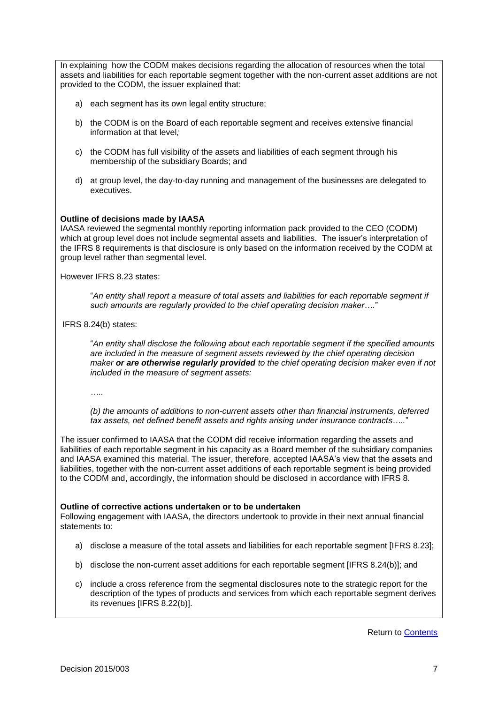In explaining how the CODM makes decisions regarding the allocation of resources when the total assets and liabilities for each reportable segment together with the non-current asset additions are not provided to the CODM, the issuer explained that:

- a) each segment has its own legal entity structure;
- b) the CODM is on the Board of each reportable segment and receives extensive financial information at that level*;*
- c) the CODM has full visibility of the assets and liabilities of each segment through his membership of the subsidiary Boards; and
- d) at group level, the day-to-day running and management of the businesses are delegated to executives.

# **Outline of decisions made by IAASA**

IAASA reviewed the segmental monthly reporting information pack provided to the CEO (CODM) which at group level does not include segmental assets and liabilities. The issuer's interpretation of the IFRS 8 requirements is that disclosure is only based on the information received by the CODM at group level rather than segmental level.

However IFRS 8.23 states:

"*An entity shall report a measure of total assets and liabilities for each reportable segment if such amounts are regularly provided to the chief operating decision maker….*"

IFRS 8.24(b) states:

"*An entity shall disclose the following about each reportable segment if the specified amounts are included in the measure of segment assets reviewed by the chief operating decision maker or are otherwise regularly provided to the chief operating decision maker even if not included in the measure of segment assets:*

*…..*

*(b) the amounts of additions to non-current assets other than financial instruments, deferred tax assets, net defined benefit assets and rights arising under insurance contracts…..*"

The issuer confirmed to IAASA that the CODM did receive information regarding the assets and liabilities of each reportable segment in his capacity as a Board member of the subsidiary companies and IAASA examined this material. The issuer, therefore, accepted IAASA's view that the assets and liabilities, together with the non-current asset additions of each reportable segment is being provided to the CODM and, accordingly, the information should be disclosed in accordance with IFRS 8.

#### **Outline of corrective actions undertaken or to be undertaken**

Following engagement with IAASA, the directors undertook to provide in their next annual financial statements to:

- a) disclose a measure of the total assets and liabilities for each reportable segment [IFRS 8.23];
- b) disclose the non-current asset additions for each reportable segment [IFRS 8.24(b)]; and
- c) include a cross reference from the segmental disclosures note to the strategic report for the description of the types of products and services from which each reportable segment derives its revenues [IFRS 8.22(b)].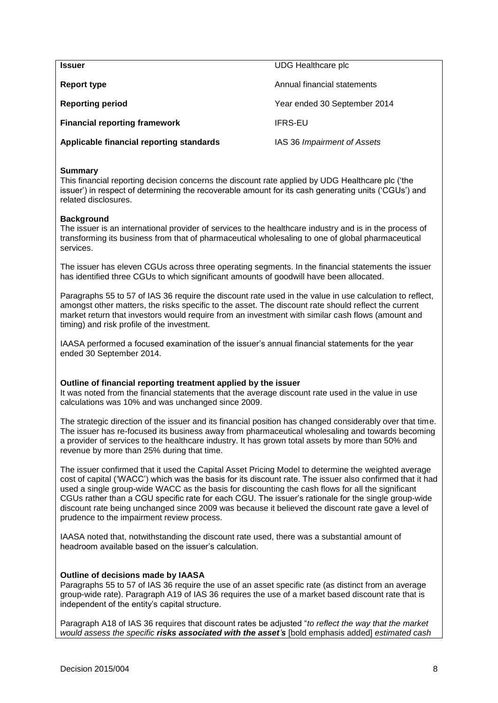<span id="page-9-0"></span>

| <b>Issuer</b>                            | UDG Healthcare plc           |
|------------------------------------------|------------------------------|
| <b>Report type</b>                       | Annual financial statements  |
| <b>Reporting period</b>                  | Year ended 30 September 2014 |
| <b>Financial reporting framework</b>     | <b>IFRS-EU</b>               |
| Applicable financial reporting standards | IAS 36 Impairment of Assets  |

This financial reporting decision concerns the discount rate applied by UDG Healthcare plc ('the issuer') in respect of determining the recoverable amount for its cash generating units ('CGUs') and related disclosures.

#### **Background**

The issuer is an international provider of services to the healthcare industry and is in the process of transforming its business from that of pharmaceutical wholesaling to one of global pharmaceutical services.

The issuer has eleven CGUs across three operating segments. In the financial statements the issuer has identified three CGUs to which significant amounts of goodwill have been allocated.

Paragraphs 55 to 57 of IAS 36 require the discount rate used in the value in use calculation to reflect, amongst other matters, the risks specific to the asset. The discount rate should reflect the current market return that investors would require from an investment with similar cash flows (amount and timing) and risk profile of the investment.

IAASA performed a focused examination of the issuer's annual financial statements for the year ended 30 September 2014.

#### **Outline of financial reporting treatment applied by the issuer**

It was noted from the financial statements that the average discount rate used in the value in use calculations was 10% and was unchanged since 2009.

The strategic direction of the issuer and its financial position has changed considerably over that time. The issuer has re-focused its business away from pharmaceutical wholesaling and towards becoming a provider of services to the healthcare industry. It has grown total assets by more than 50% and revenue by more than 25% during that time.

The issuer confirmed that it used the Capital Asset Pricing Model to determine the weighted average cost of capital ('WACC') which was the basis for its discount rate. The issuer also confirmed that it had used a single group-wide WACC as the basis for discounting the cash flows for all the significant CGUs rather than a CGU specific rate for each CGU. The issuer's rationale for the single group-wide discount rate being unchanged since 2009 was because it believed the discount rate gave a level of prudence to the impairment review process.

IAASA noted that, notwithstanding the discount rate used, there was a substantial amount of headroom available based on the issuer's calculation.

#### **Outline of decisions made by IAASA**

Paragraphs 55 to 57 of IAS 36 require the use of an asset specific rate (as distinct from an average group-wide rate). Paragraph A19 of IAS 36 requires the use of a market based discount rate that is independent of the entity's capital structure.

Paragraph A18 of IAS 36 requires that discount rates be adjusted "*to reflect the way that the market would assess the specific risks associated with the asset's* [bold emphasis added] *estimated cash*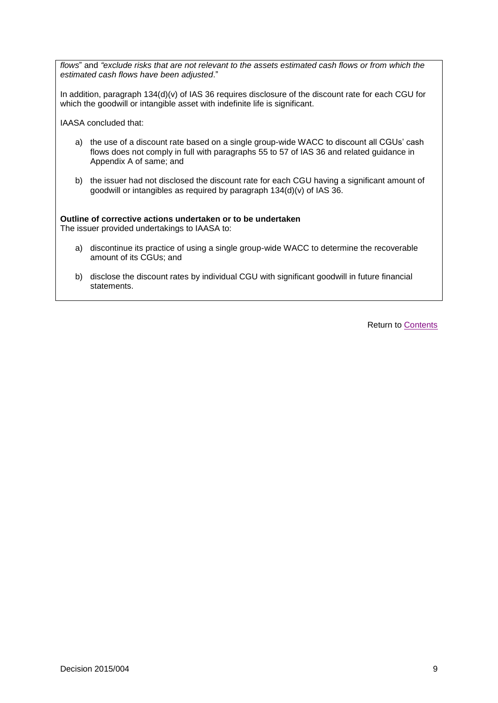*flows*" and *"exclude risks that are not relevant to the assets estimated cash flows or from which the estimated cash flows have been adjusted*."

In addition, paragraph 134(d)(v) of IAS 36 requires disclosure of the discount rate for each CGU for which the goodwill or intangible asset with indefinite life is significant.

IAASA concluded that:

- a) the use of a discount rate based on a single group-wide WACC to discount all CGUs' cash flows does not comply in full with paragraphs 55 to 57 of IAS 36 and related guidance in Appendix A of same; and
- b) the issuer had not disclosed the discount rate for each CGU having a significant amount of goodwill or intangibles as required by paragraph 134(d)(v) of IAS 36.

**Outline of corrective actions undertaken or to be undertaken** The issuer provided undertakings to IAASA to:

- a) discontinue its practice of using a single group-wide WACC to determine the recoverable amount of its CGUs; and
- b) disclose the discount rates by individual CGU with significant goodwill in future financial statements.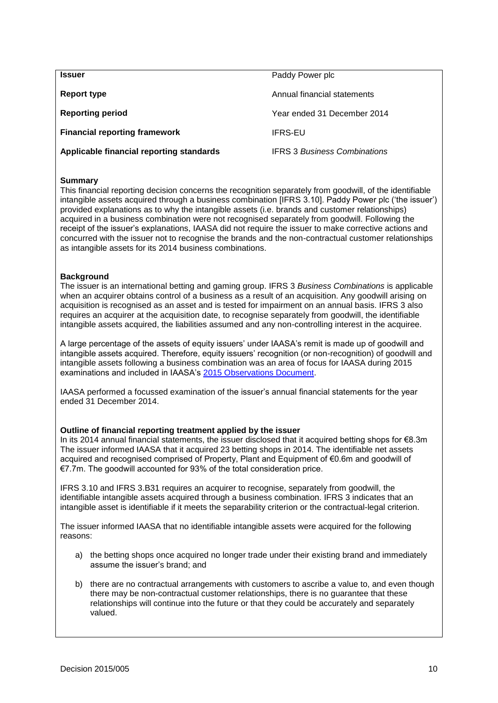<span id="page-11-0"></span>

| <b>Issuer</b>                            | Paddy Power plc                     |
|------------------------------------------|-------------------------------------|
| Report type                              | Annual financial statements         |
| <b>Reporting period</b>                  | Year ended 31 December 2014         |
| <b>Financial reporting framework</b>     | <b>IFRS-EU</b>                      |
| Applicable financial reporting standards | <b>IFRS 3 Business Combinations</b> |

This financial reporting decision concerns the recognition separately from goodwill, of the identifiable intangible assets acquired through a business combination [IFRS 3.10]. Paddy Power plc ('the issuer') provided explanations as to why the intangible assets (i.e. brands and customer relationships) acquired in a business combination were not recognised separately from goodwill. Following the receipt of the issuer's explanations, IAASA did not require the issuer to make corrective actions and concurred with the issuer not to recognise the brands and the non-contractual customer relationships as intangible assets for its 2014 business combinations.

# **Background**

The issuer is an international betting and gaming group. IFRS 3 *Business Combinations* is applicable when an acquirer obtains control of a business as a result of an acquisition. Any goodwill arising on acquisition is recognised as an asset and is tested for impairment on an annual basis. IFRS 3 also requires an acquirer at the acquisition date, to recognise separately from goodwill, the identifiable intangible assets acquired, the liabilities assumed and any non-controlling interest in the acquiree.

A large percentage of the assets of equity issuers' under IAASA's remit is made up of goodwill and intangible assets acquired. Therefore, equity issuers' recognition (or non-recognition) of goodwill and intangible assets following a business combination was an area of focus for IAASA during 2015 examinations and included in IAASA's [2015 Observations Document.](http://www.iaasa.ie/getmedia/e4944b73-04f8-4ed2-8b64-4d2e06b2c185/obsdoc2015.pdf?ext=.pdf)

IAASA performed a focussed examination of the issuer's annual financial statements for the year ended 31 December 2014.

# **Outline of financial reporting treatment applied by the issuer**

In its 2014 annual financial statements, the issuer disclosed that it acquired betting shops for €8.3m The issuer informed IAASA that it acquired 23 betting shops in 2014. The identifiable net assets acquired and recognised comprised of Property, Plant and Equipment of €0.6m and goodwill of €7.7m. The goodwill accounted for 93% of the total consideration price.

IFRS 3.10 and IFRS 3.B31 requires an acquirer to recognise, separately from goodwill, the identifiable intangible assets acquired through a business combination. IFRS 3 indicates that an intangible asset is identifiable if it meets the separability criterion or the contractual-legal criterion.

The issuer informed IAASA that no identifiable intangible assets were acquired for the following reasons:

- a) the betting shops once acquired no longer trade under their existing brand and immediately assume the issuer's brand; and
- b) there are no contractual arrangements with customers to ascribe a value to, and even though there may be non-contractual customer relationships, there is no guarantee that these relationships will continue into the future or that they could be accurately and separately valued.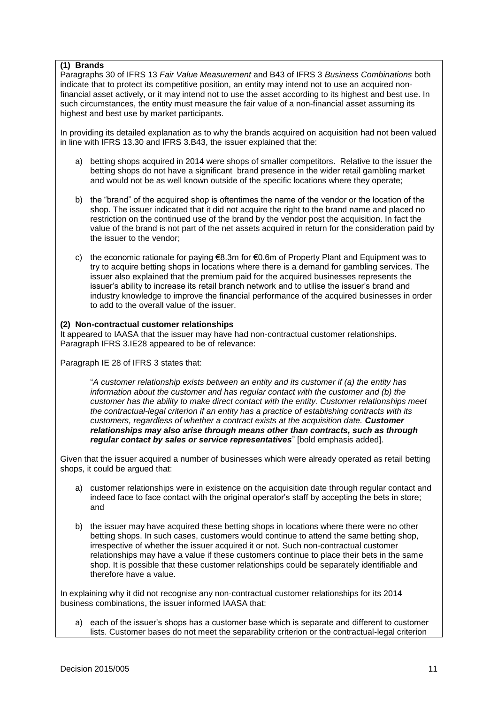# **(1) Brands**

Paragraphs 30 of IFRS 13 *Fair Value Measurement* and B43 of IFRS 3 *Business Combinations* both indicate that to protect its competitive position, an entity may intend not to use an acquired nonfinancial asset actively, or it may intend not to use the asset according to its highest and best use. In such circumstances, the entity must measure the fair value of a non-financial asset assuming its highest and best use by market participants.

In providing its detailed explanation as to why the brands acquired on acquisition had not been valued in line with IFRS 13.30 and IFRS 3.B43, the issuer explained that the:

- a) betting shops acquired in 2014 were shops of smaller competitors. Relative to the issuer the betting shops do not have a significant brand presence in the wider retail gambling market and would not be as well known outside of the specific locations where they operate;
- b) the "brand" of the acquired shop is oftentimes the name of the vendor or the location of the shop. The issuer indicated that it did not acquire the right to the brand name and placed no restriction on the continued use of the brand by the vendor post the acquisition. In fact the value of the brand is not part of the net assets acquired in return for the consideration paid by the issuer to the vendor;
- c) the economic rationale for paying  $\epsilon$ 8.3m for  $\epsilon$ 0.6m of Property Plant and Equipment was to try to acquire betting shops in locations where there is a demand for gambling services. The issuer also explained that the premium paid for the acquired businesses represents the issuer's ability to increase its retail branch network and to utilise the issuer's brand and industry knowledge to improve the financial performance of the acquired businesses in order to add to the overall value of the issuer.

# **(2) Non-contractual customer relationships**

It appeared to IAASA that the issuer may have had non-contractual customer relationships. Paragraph IFRS 3.IE28 appeared to be of relevance:

Paragraph IE 28 of IFRS 3 states that:

"*A customer relationship exists between an entity and its customer if (a) the entity has information about the customer and has regular contact with the customer and (b) the customer has the ability to make direct contact with the entity. Customer relationships meet the contractual-legal criterion if an entity has a practice of establishing contracts with its customers, regardless of whether a contract exists at the acquisition date. Customer relationships may also arise through means other than contracts, such as through regular contact by sales or service representatives*" [bold emphasis added].

Given that the issuer acquired a number of businesses which were already operated as retail betting shops, it could be argued that:

- a) customer relationships were in existence on the acquisition date through regular contact and indeed face to face contact with the original operator's staff by accepting the bets in store; and
- b) the issuer may have acquired these betting shops in locations where there were no other betting shops. In such cases, customers would continue to attend the same betting shop, irrespective of whether the issuer acquired it or not. Such non-contractual customer relationships may have a value if these customers continue to place their bets in the same shop. It is possible that these customer relationships could be separately identifiable and therefore have a value.

In explaining why it did not recognise any non-contractual customer relationships for its 2014 business combinations, the issuer informed IAASA that:

a) each of the issuer's shops has a customer base which is separate and different to customer lists. Customer bases do not meet the separability criterion or the contractual-legal criterion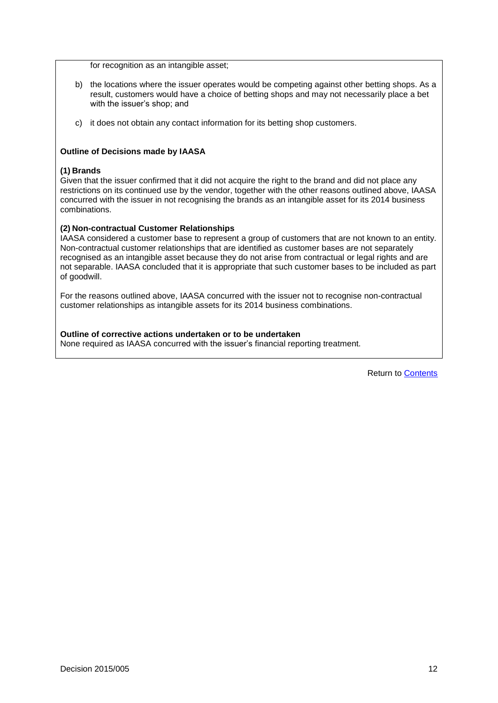for recognition as an intangible asset;

- b) the locations where the issuer operates would be competing against other betting shops. As a result, customers would have a choice of betting shops and may not necessarily place a bet with the issuer's shop; and
- c) it does not obtain any contact information for its betting shop customers.

# **Outline of Decisions made by IAASA**

#### **(1) Brands**

Given that the issuer confirmed that it did not acquire the right to the brand and did not place any restrictions on its continued use by the vendor, together with the other reasons outlined above, IAASA concurred with the issuer in not recognising the brands as an intangible asset for its 2014 business combinations.

#### **(2) Non-contractual Customer Relationships**

IAASA considered a customer base to represent a group of customers that are not known to an entity. Non-contractual customer relationships that are identified as customer bases are not separately recognised as an intangible asset because they do not arise from contractual or legal rights and are not separable. IAASA concluded that it is appropriate that such customer bases to be included as part of goodwill.

For the reasons outlined above, IAASA concurred with the issuer not to recognise non-contractual customer relationships as intangible assets for its 2014 business combinations.

### **Outline of corrective actions undertaken or to be undertaken**

None required as IAASA concurred with the issuer's financial reporting treatment.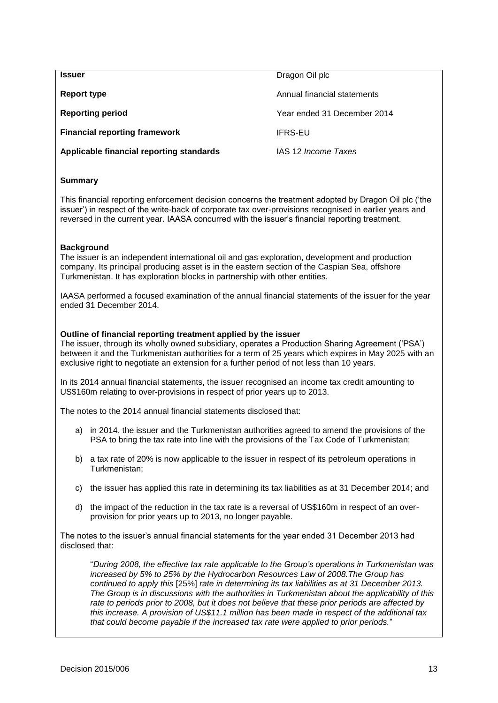<span id="page-14-0"></span>

| <b>Issuer</b>                            | Dragon Oil plc              |
|------------------------------------------|-----------------------------|
| Report type                              | Annual financial statements |
| <b>Reporting period</b>                  | Year ended 31 December 2014 |
| <b>Financial reporting framework</b>     | <b>IFRS-EU</b>              |
| Applicable financial reporting standards | IAS 12 Income Taxes         |

This financial reporting enforcement decision concerns the treatment adopted by Dragon Oil plc ('the issuer') in respect of the write-back of corporate tax over-provisions recognised in earlier years and reversed in the current year. IAASA concurred with the issuer's financial reporting treatment.

#### **Background**

The issuer is an independent international oil and gas exploration, development and production company. Its principal producing asset is in the eastern section of the Caspian Sea, offshore Turkmenistan. It has exploration blocks in partnership with other entities.

IAASA performed a focused examination of the annual financial statements of the issuer for the year ended 31 December 2014.

#### **Outline of financial reporting treatment applied by the issuer**

The issuer, through its wholly owned subsidiary, operates a Production Sharing Agreement ('PSA') between it and the Turkmenistan authorities for a term of 25 years which expires in May 2025 with an exclusive right to negotiate an extension for a further period of not less than 10 years.

In its 2014 annual financial statements, the issuer recognised an income tax credit amounting to US\$160m relating to over-provisions in respect of prior years up to 2013.

The notes to the 2014 annual financial statements disclosed that:

- a) in 2014, the issuer and the Turkmenistan authorities agreed to amend the provisions of the PSA to bring the tax rate into line with the provisions of the Tax Code of Turkmenistan;
- b) a tax rate of 20% is now applicable to the issuer in respect of its petroleum operations in Turkmenistan;
- c) the issuer has applied this rate in determining its tax liabilities as at 31 December 2014; and
- d) the impact of the reduction in the tax rate is a reversal of US\$160m in respect of an overprovision for prior years up to 2013, no longer payable.

The notes to the issuer's annual financial statements for the year ended 31 December 2013 had disclosed that:

"*During 2008, the effective tax rate applicable to the Group's operations in Turkmenistan was increased by 5% to 25% by the Hydrocarbon Resources Law of 2008.The Group has continued to apply this* [25%] *rate in determining its tax liabilities as at 31 December 2013. The Group is in discussions with the authorities in Turkmenistan about the applicability of this rate to periods prior to 2008, but it does not believe that these prior periods are affected by this increase. A provision of US\$11.1 million has been made in respect of the additional tax that could become payable if the increased tax rate were applied to prior periods.*"